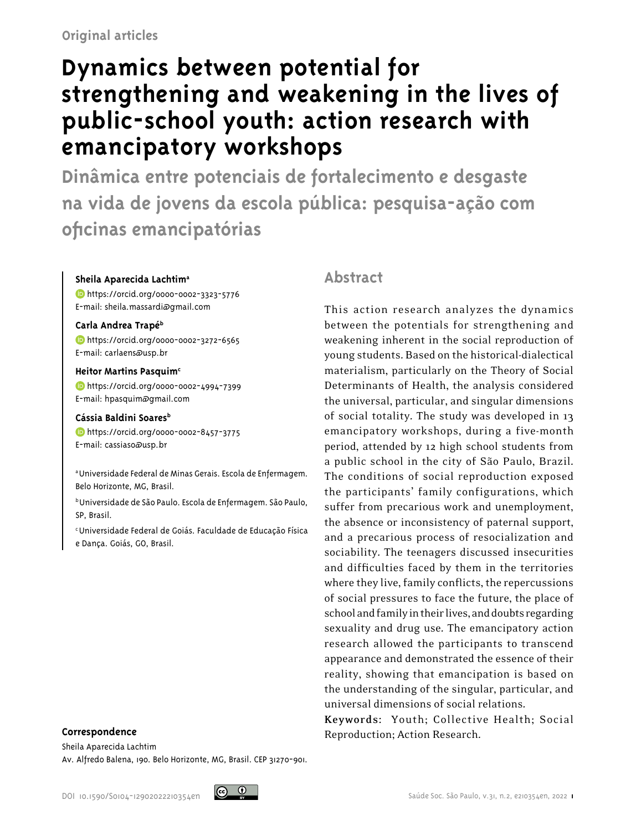# **Dynamics between potential for strengthening and weakening in the lives of public-school youth: action research with emancipatory workshops**

**Dinâmica entre potenciais de fortalecimento e desgaste na vida de jovens da escola pública: pesquisa-ação com oficinas emancipatórias**

#### **Sheila Aparecida Lachtima**

<https://orcid.org/0000-0002-3323-5776> E-mail: sheila.massardi@gmail.com

#### **Carla Andrea Trapéb**

<https://orcid.org/0000-0002-3272-6565> E-mail: carlaens@usp.br

#### **Heitor Martins Pasquimc**

<https://orcid.org/0000-0002-4994-7399> E-mail: hpasquim@gmail.com

#### Cássia Baldini Soares<sup>b</sup>

<https://orcid.org/0000-0002-8457-3775> E-mail: cassiaso@usp.br

a Universidade Federal de Minas Gerais. Escola de Enfermagem. Belo Horizonte, MG, Brasil.

b Universidade de São Paulo. Escola de Enfermagem. São Paulo, SP, Brasil.

c Universidade Federal de Goiás. Faculdade de Educação Física e Dança. Goiás, GO, Brasil.

#### **Correspondence**

Sheila Aparecida Lachtim Av. Alfredo Balena, 190. Belo Horizonte, MG, Brasil. CEP 31270-901.

# **Abstract**

This action research analyzes the dynamics between the potentials for strengthening and weakening inherent in the social reproduction of young students. Based on the historical-dialectical materialism, particularly on the Theory of Social Determinants of Health, the analysis considered the universal, particular, and singular dimensions of social totality. The study was developed in 13 emancipatory workshops, during a five-month period, attended by 12 high school students from a public school in the city of São Paulo, Brazil. The conditions of social reproduction exposed the participants' family configurations, which suffer from precarious work and unemployment, the absence or inconsistency of paternal support, and a precarious process of resocialization and sociability. The teenagers discussed insecurities and difficulties faced by them in the territories where they live, family conflicts, the repercussions of social pressures to face the future, the place of school and family in their lives, and doubts regarding sexuality and drug use. The emancipatory action research allowed the participants to transcend appearance and demonstrated the essence of their reality, showing that emancipation is based on the understanding of the singular, particular, and universal dimensions of social relations.

**Keywords:** Youth; Collective Health; Social Reproduction; Action Research.

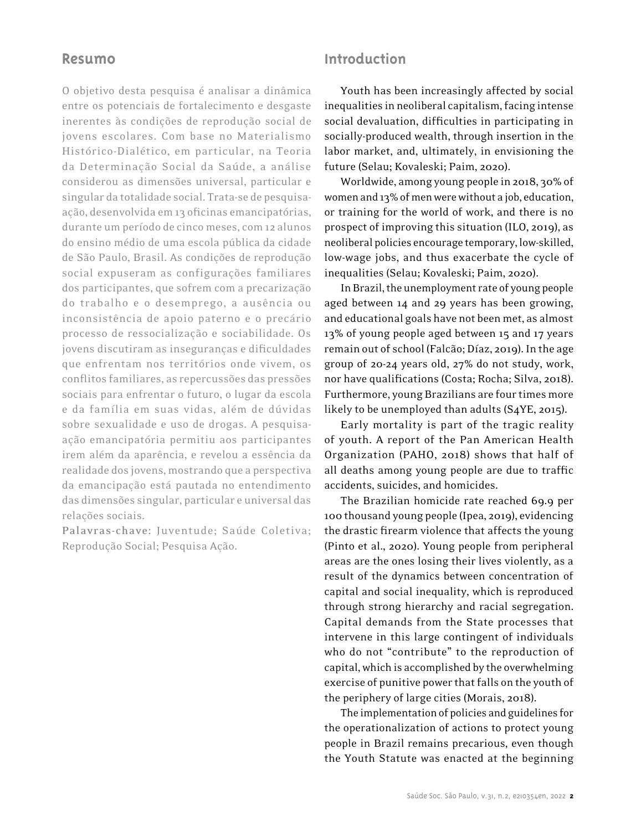## **Resumo**

O objetivo desta pesquisa é analisar a dinâmica entre os potenciais de fortalecimento e desgaste inerentes às condições de reprodução social de jovens escolares. Com base no Materialismo Histórico-Dialético, em particular, na Teoria da Determinação Social da Saúde, a análise considerou as dimensões universal, particular e singular da totalidade social. Trata-se de pesquisaação, desenvolvida em 13 oficinas emancipatórias, durante um período de cinco meses, com 12 alunos do ensino médio de uma escola pública da cidade de São Paulo, Brasil. As condições de reprodução social expuseram as configurações familiares dos participantes, que sofrem com a precarização do trabalho e o desemprego, a ausência ou inconsistência de apoio paterno e o precário processo de ressocialização e sociabilidade. Os jovens discutiram as inseguranças e dificuldades que enfrentam nos territórios onde vivem, os conflitos familiares, as repercussões das pressões sociais para enfrentar o futuro, o lugar da escola e da família em suas vidas, além de dúvidas sobre sexualidade e uso de drogas. A pesquisaação emancipatória permitiu aos participantes irem além da aparência, e revelou a essência da realidade dos jovens, mostrando que a perspectiva da emancipação está pautada no entendimento das dimensões singular, particular e universal das relações sociais.

**Palavras-chave:** Juventude; Saúde Coletiva; Reprodução Social; Pesquisa Ação.

# **Introduction**

Youth has been increasingly affected by social inequalities in neoliberal capitalism, facing intense social devaluation, difficulties in participating in socially-produced wealth, through insertion in the labor market, and, ultimately, in envisioning the future (Selau; Kovaleski; Paim, 2020).

Worldwide, among young people in 2018, 30% of women and 13% of men were without a job, education, or training for the world of work, and there is no prospect of improving this situation (ILO, 2019), as neoliberal policies encourage temporary, low-skilled, low-wage jobs, and thus exacerbate the cycle of inequalities (Selau; Kovaleski; Paim, 2020).

In Brazil, the unemployment rate of young people aged between 14 and 29 years has been growing, and educational goals have not been met, as almost 13% of young people aged between 15 and 17 years remain out of school (Falcão; Díaz, 2019). In the age group of 20-24 years old, 27% do not study, work, nor have qualifications (Costa; Rocha; Silva, 2018). Furthermore, young Brazilians are four times more likely to be unemployed than adults (S4YE, 2015).

Early mortality is part of the tragic reality of youth. A report of the Pan American Health Organization (PAHO, 2018) shows that half of all deaths among young people are due to traffic accidents, suicides, and homicides.

The Brazilian homicide rate reached 69.9 per 100 thousand young people (Ipea, 2019), evidencing the drastic firearm violence that affects the young (Pinto et al., 2020). Young people from peripheral areas are the ones losing their lives violently, as a result of the dynamics between concentration of capital and social inequality, which is reproduced through strong hierarchy and racial segregation. Capital demands from the State processes that intervene in this large contingent of individuals who do not "contribute" to the reproduction of capital, which is accomplished by the overwhelming exercise of punitive power that falls on the youth of the periphery of large cities (Morais, 2018).

The implementation of policies and guidelines for the operationalization of actions to protect young people in Brazil remains precarious, even though the Youth Statute was enacted at the beginning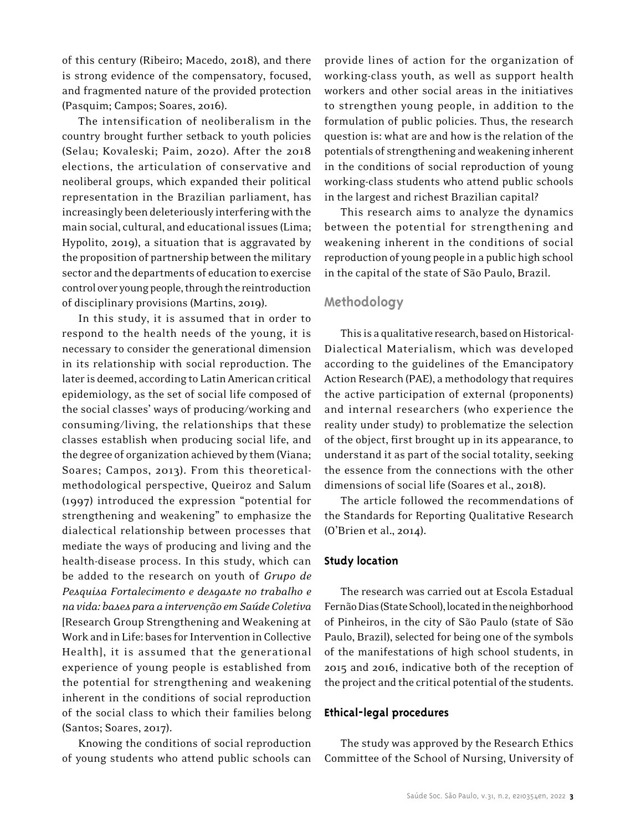of this century (Ribeiro; Macedo, 2018), and there is strong evidence of the compensatory, focused, and fragmented nature of the provided protection (Pasquim; Campos; Soares, 2016).

The intensification of neoliberalism in the country brought further setback to youth policies (Selau; Kovaleski; Paim, 2020). After the 2018 elections, the articulation of conservative and neoliberal groups, which expanded their political representation in the Brazilian parliament, has increasingly been deleteriously interfering with the main social, cultural, and educational issues (Lima; Hypolito, 2019), a situation that is aggravated by the proposition of partnership between the military sector and the departments of education to exercise control over young people, through the reintroduction of disciplinary provisions (Martins, 2019).

In this study, it is assumed that in order to respond to the health needs of the young, it is necessary to consider the generational dimension in its relationship with social reproduction. The later is deemed, according to Latin American critical epidemiology, as the set of social life composed of the social classes' ways of producing/working and consuming/living, the relationships that these classes establish when producing social life, and the degree of organization achieved by them (Viana; Soares; Campos, 2013). From this theoreticalmethodological perspective, Queiroz and Salum (1997) introduced the expression "potential for strengthening and weakening" to emphasize the dialectical relationship between processes that mediate the ways of producing and living and the health-disease process. In this study, which can be added to the research on youth of *Grupo de Pesquisa Fortalecimento e desgaste no trabalho e na vida: bases para a intervenção em Saúde Coletiva* [Research Group Strengthening and Weakening at Work and in Life: bases for Intervention in Collective Health], it is assumed that the generational experience of young people is established from the potential for strengthening and weakening inherent in the conditions of social reproduction of the social class to which their families belong (Santos; Soares, 2017).

Knowing the conditions of social reproduction of young students who attend public schools can provide lines of action for the organization of working-class youth, as well as support health workers and other social areas in the initiatives to strengthen young people, in addition to the formulation of public policies. Thus, the research question is: what are and how is the relation of the potentials of strengthening and weakening inherent in the conditions of social reproduction of young working-class students who attend public schools in the largest and richest Brazilian capital?

This research aims to analyze the dynamics between the potential for strengthening and weakening inherent in the conditions of social reproduction of young people in a public high school in the capital of the state of São Paulo, Brazil.

## **Methodology**

This is a qualitative research, based on Historical-Dialectical Materialism, which was developed according to the guidelines of the Emancipatory Action Research (PAE), a methodology that requires the active participation of external (proponents) and internal researchers (who experience the reality under study) to problematize the selection of the object, first brought up in its appearance, to understand it as part of the social totality, seeking the essence from the connections with the other dimensions of social life (Soares et al., 2018).

The article followed the recommendations of the Standards for Reporting Qualitative Research (O'Brien et al., 2014).

#### **Study location**

The research was carried out at Escola Estadual Fernão Dias (State School), located in the neighborhood of Pinheiros, in the city of São Paulo (state of São Paulo, Brazil), selected for being one of the symbols of the manifestations of high school students, in 2015 and 2016, indicative both of the reception of the project and the critical potential of the students.

#### **Ethical-legal procedures**

The study was approved by the Research Ethics Committee of the School of Nursing, University of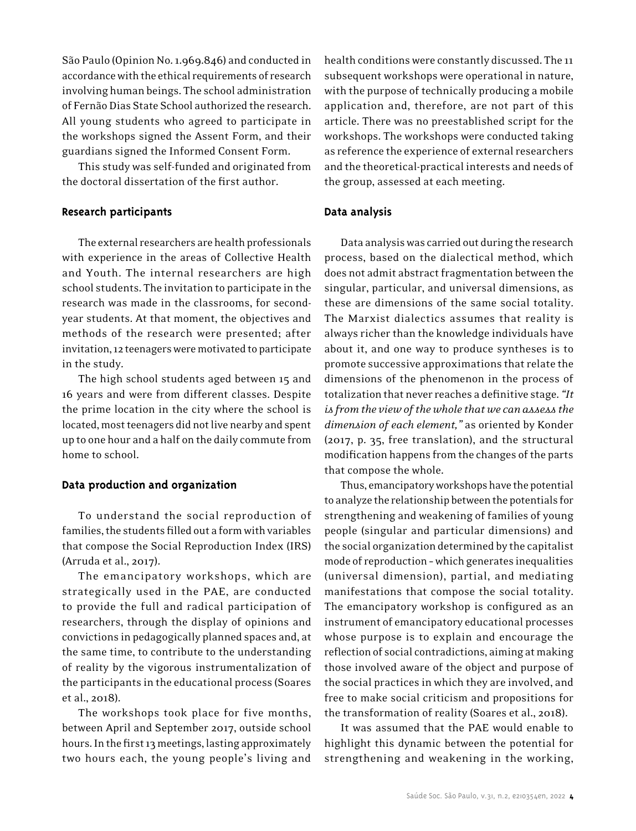São Paulo (Opinion No.1.969.846) and conducted in accordance with the ethical requirements of research involving human beings. The school administration of Fernão Dias State School authorized the research. All young students who agreed to participate in the workshops signed the Assent Form, and their guardians signed the Informed Consent Form.

This study was self-funded and originated from the doctoral dissertation of the first author.

#### **Research participants**

The external researchers are health professionals with experience in the areas of Collective Health and Youth. The internal researchers are high school students. The invitation to participate in the research was made in the classrooms, for secondyear students. At that moment, the objectives and methods of the research were presented; after invitation, 12 teenagers were motivated to participate in the study.

The high school students aged between 15 and 16 years and were from different classes. Despite the prime location in the city where the school is located, most teenagers did not live nearby and spent up to one hour and a half on the daily commute from home to school.

#### **Data production and organization**

To understand the social reproduction of families, the students filled out a form with variables that compose the Social Reproduction Index (IRS) (Arruda et al., 2017).

The emancipatory workshops, which are strategically used in the PAE, are conducted to provide the full and radical participation of researchers, through the display of opinions and convictions in pedagogically planned spaces and, at the same time, to contribute to the understanding of reality by the vigorous instrumentalization of the participants in the educational process (Soares et al., 2018).

The workshops took place for five months, between April and September 2017, outside school hours. In the first 13 meetings, lasting approximately two hours each, the young people's living and

health conditions were constantly discussed. The 11 subsequent workshops were operational in nature, with the purpose of technically producing a mobile application and, therefore, are not part of this article. There was no preestablished script for the workshops. The workshops were conducted taking as reference the experience of external researchers and the theoretical-practical interests and needs of the group, assessed at each meeting.

#### **Data analysis**

Data analysis was carried out during the research process, based on the dialectical method, which does not admit abstract fragmentation between the singular, particular, and universal dimensions, as these are dimensions of the same social totality. The Marxist dialectics assumes that reality is always richer than the knowledge individuals have about it, and one way to produce syntheses is to promote successive approximations that relate the dimensions of the phenomenon in the process of totalization that never reaches a definitive stage. *"It is from the view of the whole that we can assess the dimension of each element,"* as oriented by Konder (2017, p. 35, free translation), and the structural modification happens from the changes of the parts that compose the whole.

Thus, emancipatory workshops have the potential to analyze the relationship between the potentials for strengthening and weakening of families of young people (singular and particular dimensions) and the social organization determined by the capitalist mode of reproduction – which generates inequalities (universal dimension), partial, and mediating manifestations that compose the social totality. The emancipatory workshop is configured as an instrument of emancipatory educational processes whose purpose is to explain and encourage the reflection of social contradictions, aiming at making those involved aware of the object and purpose of the social practices in which they are involved, and free to make social criticism and propositions for the transformation of reality (Soares et al., 2018).

It was assumed that the PAE would enable to highlight this dynamic between the potential for strengthening and weakening in the working,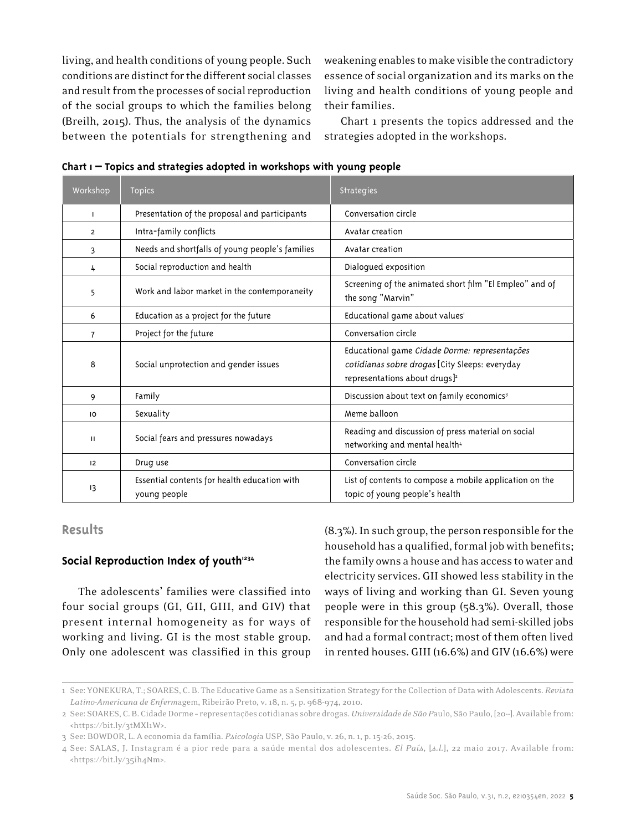living, and health conditions of young people. Such conditions are distinct for the different social classes and result from the processes of social reproduction of the social groups to which the families belong (Breilh, 2015). Thus, the analysis of the dynamics between the potentials for strengthening and weakening enables to make visible the contradictory essence of social organization and its marks on the living and health conditions of young people and their families.

Chart 1 presents the topics addressed and the strategies adopted in the workshops.

| Workshop       | <b>Topics</b>                                                | <b>Strategies</b>                                                                                                                            |
|----------------|--------------------------------------------------------------|----------------------------------------------------------------------------------------------------------------------------------------------|
| $\mathbf{I}$   | Presentation of the proposal and participants                | Conversation circle                                                                                                                          |
| $\overline{2}$ | Intra-family conflicts                                       | Avatar creation                                                                                                                              |
| 3              | Needs and shortfalls of young people's families              | Avatar creation                                                                                                                              |
| 4              | Social reproduction and health                               | Dialogued exposition                                                                                                                         |
| 5              | Work and labor market in the contemporaneity                 | Screening of the animated short film "El Empleo" and of<br>the song "Marvin"                                                                 |
| 6              | Education as a project for the future                        | Educational game about values'                                                                                                               |
| $\overline{7}$ | Project for the future                                       | Conversation circle                                                                                                                          |
| 8              | Social unprotection and gender issues                        | Educational game Cidade Dorme: representações<br>cotidianas sobre drogas [City Sleeps: everyday<br>representations about drugs] <sup>2</sup> |
| 9              | Family                                                       | Discussion about text on family economics <sup>3</sup>                                                                                       |
| 10             | Sexuality                                                    | Meme balloon                                                                                                                                 |
| $\mathbf{H}$   | Social fears and pressures nowadays                          | Reading and discussion of press material on social<br>networking and mental health <sup>4</sup>                                              |
| 12             | Drug use                                                     | Conversation circle                                                                                                                          |
| 13             | Essential contents for health education with<br>young people | List of contents to compose a mobile application on the<br>topic of young people's health                                                    |

**Chart 1 – Topics and strategies adopted in workshops with young people**

## **Results**

#### Social Reproduction Index of youth<sup>1234</sup>

The adolescents' families were classified into four social groups (GI, GII, GIII, and GIV) that present internal homogeneity as for ways of working and living. GI is the most stable group. Only one adolescent was classified in this group (8.3%). In such group, the person responsible for the household has a qualified, formal job with benefits; the family owns a house and has access to water and electricity services. GII showed less stability in the ways of living and working than GI. Seven young people were in this group (58.3%). Overall, those responsible for the household had semi-skilled jobs and had a formal contract; most of them often lived in rented houses. GIII (16.6%) and GIV (16.6%) were

<sup>1</sup> See: YONEKURA, T.; SOARES, C. B. The Educative Game as a Sensitization Strategy for the Collection of Data with Adolescents. *Revista Latino-Americana de Enferm*agem, Ribeirão Preto, v. 18, n. 5, p. 968-974, 2010.

<sup>2</sup> See: SOARES, C. B. Cidade Dorme – representações cotidianas sobre drogas. *Universidade de São P*aulo, São Paulo, [20--]. Available from: <https://bit.ly/3tMXl1W>.

<sup>3</sup> See: BOWDOR, L. A economia da família. *Psicologi*a USP, São Paulo, v. 26, n. 1, p. 15-26, 2015.

<sup>4</sup> See: SALAS, J. Instagram é a pior rede para a saúde mental dos adolescentes. *El País*, [*s.l.*], 22 maio 2017. Available from: <https://bit.ly/35ih4Nm>.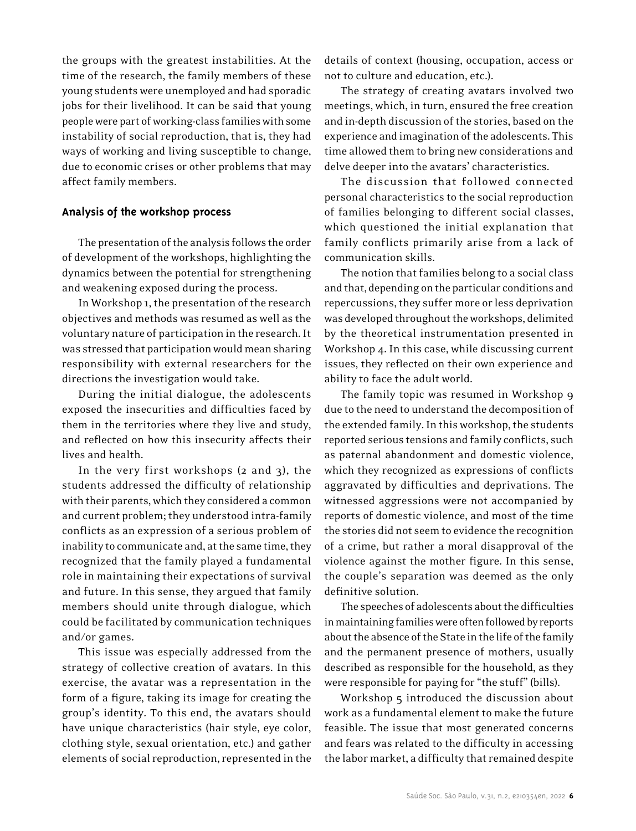the groups with the greatest instabilities. At the time of the research, the family members of these young students were unemployed and had sporadic jobs for their livelihood. It can be said that young people were part of working-class families with some instability of social reproduction, that is, they had ways of working and living susceptible to change, due to economic crises or other problems that may affect family members.

#### **Analysis of the workshop process**

The presentation of the analysis follows the order of development of the workshops, highlighting the dynamics between the potential for strengthening and weakening exposed during the process.

In Workshop 1, the presentation of the research objectives and methods was resumed as well as the voluntary nature of participation in the research. It was stressed that participation would mean sharing responsibility with external researchers for the directions the investigation would take.

During the initial dialogue, the adolescents exposed the insecurities and difficulties faced by them in the territories where they live and study, and reflected on how this insecurity affects their lives and health.

In the very first workshops (2 and 3), the students addressed the difficulty of relationship with their parents, which they considered a common and current problem; they understood intra-family conflicts as an expression of a serious problem of inability to communicate and, at the same time, they recognized that the family played a fundamental role in maintaining their expectations of survival and future. In this sense, they argued that family members should unite through dialogue, which could be facilitated by communication techniques and/or games.

This issue was especially addressed from the strategy of collective creation of avatars. In this exercise, the avatar was a representation in the form of a figure, taking its image for creating the group's identity. To this end, the avatars should have unique characteristics (hair style, eye color, clothing style, sexual orientation, etc.) and gather elements of social reproduction, represented in the

details of context (housing, occupation, access or not to culture and education, etc.).

The strategy of creating avatars involved two meetings, which, in turn, ensured the free creation and in-depth discussion of the stories, based on the experience and imagination of the adolescents. This time allowed them to bring new considerations and delve deeper into the avatars' characteristics.

The discussion that followed connected personal characteristics to the social reproduction of families belonging to different social classes, which questioned the initial explanation that family conflicts primarily arise from a lack of communication skills.

The notion that families belong to a social class and that, depending on the particular conditions and repercussions, they suffer more or less deprivation was developed throughout the workshops, delimited by the theoretical instrumentation presented in Workshop 4. In this case, while discussing current issues, they reflected on their own experience and ability to face the adult world.

The family topic was resumed in Workshop 9 due to the need to understand the decomposition of the extended family. In this workshop, the students reported serious tensions and family conflicts, such as paternal abandonment and domestic violence, which they recognized as expressions of conflicts aggravated by difficulties and deprivations. The witnessed aggressions were not accompanied by reports of domestic violence, and most of the time the stories did not seem to evidence the recognition of a crime, but rather a moral disapproval of the violence against the mother figure. In this sense, the couple's separation was deemed as the only definitive solution.

The speeches of adolescents about the difficulties in maintaining families were often followed by reports about the absence of the State in the life of the family and the permanent presence of mothers, usually described as responsible for the household, as they were responsible for paying for "the stuff" (bills).

Workshop 5 introduced the discussion about work as a fundamental element to make the future feasible. The issue that most generated concerns and fears was related to the difficulty in accessing the labor market, a difficulty that remained despite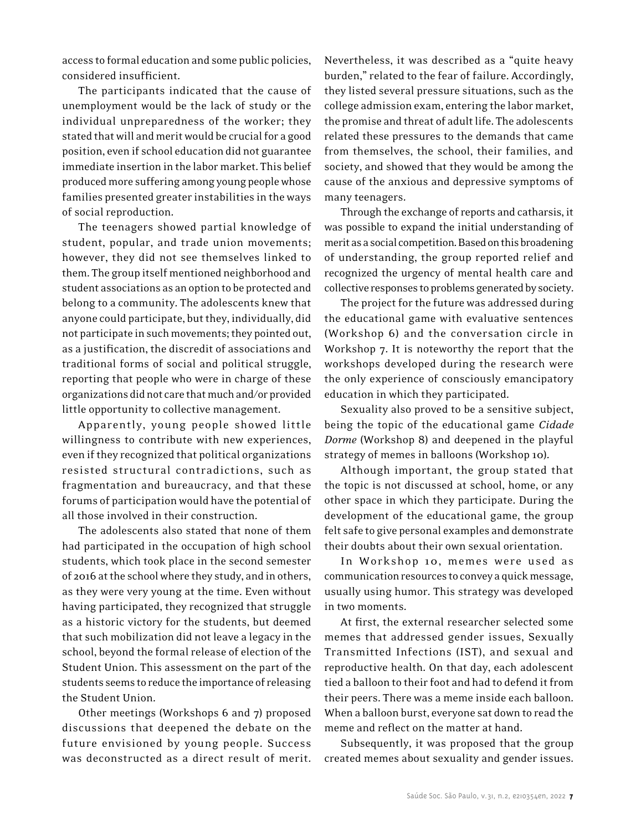access to formal education and some public policies, considered insufficient.

The participants indicated that the cause of unemployment would be the lack of study or the individual unpreparedness of the worker; they stated that will and merit would be crucial for a good position, even if school education did not guarantee immediate insertion in the labor market. This belief produced more suffering among young people whose families presented greater instabilities in the ways of social reproduction.

The teenagers showed partial knowledge of student, popular, and trade union movements; however, they did not see themselves linked to them. The group itself mentioned neighborhood and student associations as an option to be protected and belong to a community. The adolescents knew that anyone could participate, but they, individually, did not participate in such movements; they pointed out, as a justification, the discredit of associations and traditional forms of social and political struggle, reporting that people who were in charge of these organizations did not care that much and/or provided little opportunity to collective management.

Apparently, young people showed little willingness to contribute with new experiences, even if they recognized that political organizations resisted structural contradictions, such as fragmentation and bureaucracy, and that these forums of participation would have the potential of all those involved in their construction.

The adolescents also stated that none of them had participated in the occupation of high school students, which took place in the second semester of 2016 at the school where they study, and in others, as they were very young at the time. Even without having participated, they recognized that struggle as a historic victory for the students, but deemed that such mobilization did not leave a legacy in the school, beyond the formal release of election of the Student Union. This assessment on the part of the students seems to reduce the importance of releasing the Student Union.

Other meetings (Workshops 6 and 7) proposed discussions that deepened the debate on the future envisioned by young people. Success was deconstructed as a direct result of merit. Nevertheless, it was described as a "quite heavy burden," related to the fear of failure. Accordingly, they listed several pressure situations, such as the college admission exam, entering the labor market, the promise and threat of adult life. The adolescents related these pressures to the demands that came from themselves, the school, their families, and society, and showed that they would be among the cause of the anxious and depressive symptoms of many teenagers.

Through the exchange of reports and catharsis, it was possible to expand the initial understanding of merit as a social competition. Based on this broadening of understanding, the group reported relief and recognized the urgency of mental health care and collective responses to problems generated by society.

The project for the future was addressed during the educational game with evaluative sentences (Workshop 6) and the conversation circle in Workshop 7. It is noteworthy the report that the workshops developed during the research were the only experience of consciously emancipatory education in which they participated.

Sexuality also proved to be a sensitive subject, being the topic of the educational game *Cidade Dorme* (Workshop 8) and deepened in the playful strategy of memes in balloons (Workshop 10).

Although important, the group stated that the topic is not discussed at school, home, or any other space in which they participate. During the development of the educational game, the group felt safe to give personal examples and demonstrate their doubts about their own sexual orientation.

In Workshop 10, memes were used as communication resources to convey a quick message, usually using humor. This strategy was developed in two moments.

At first, the external researcher selected some memes that addressed gender issues, Sexually Transmitted Infections (IST), and sexual and reproductive health. On that day, each adolescent tied a balloon to their foot and had to defend it from their peers. There was a meme inside each balloon. When a balloon burst, everyone sat down to read the meme and reflect on the matter at hand.

Subsequently, it was proposed that the group created memes about sexuality and gender issues.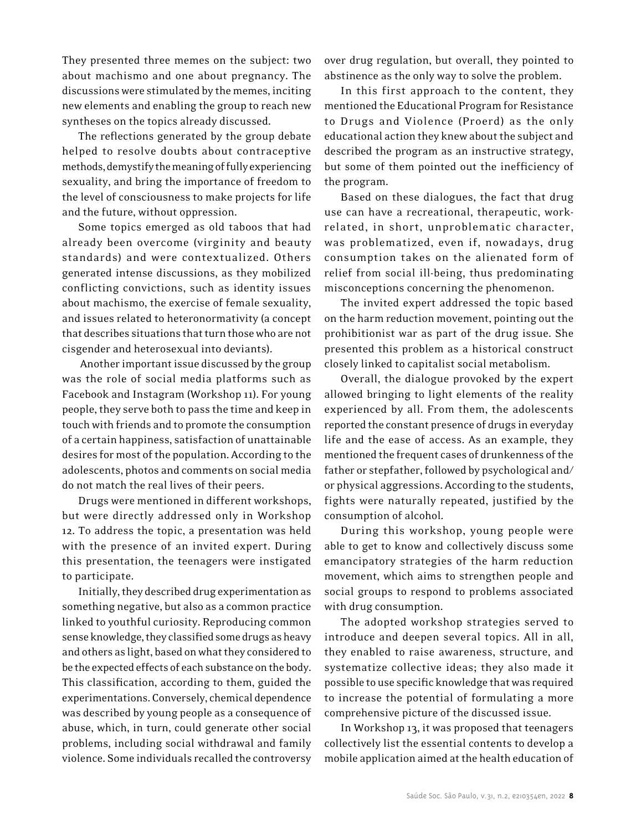They presented three memes on the subject: two about machismo and one about pregnancy. The discussions were stimulated by the memes, inciting new elements and enabling the group to reach new syntheses on the topics already discussed.

The reflections generated by the group debate helped to resolve doubts about contraceptive methods, demystify the meaning of fully experiencing sexuality, and bring the importance of freedom to the level of consciousness to make projects for life and the future, without oppression.

Some topics emerged as old taboos that had already been overcome (virginity and beauty standards) and were contextualized. Others generated intense discussions, as they mobilized conflicting convictions, such as identity issues about machismo, the exercise of female sexuality, and issues related to heteronormativity (a concept that describes situations that turn those who are not cisgender and heterosexual into deviants).

 Another important issue discussed by the group was the role of social media platforms such as Facebook and Instagram (Workshop 11). For young people, they serve both to pass the time and keep in touch with friends and to promote the consumption of a certain happiness, satisfaction of unattainable desires for most of the population. According to the adolescents, photos and comments on social media do not match the real lives of their peers.

Drugs were mentioned in different workshops, but were directly addressed only in Workshop 12. To address the topic, a presentation was held with the presence of an invited expert. During this presentation, the teenagers were instigated to participate.

Initially, they described drug experimentation as something negative, but also as a common practice linked to youthful curiosity. Reproducing common sense knowledge, they classified some drugs as heavy and others as light, based on what they considered to be the expected effects of each substance on the body. This classification, according to them, guided the experimentations. Conversely, chemical dependence was described by young people as a consequence of abuse, which, in turn, could generate other social problems, including social withdrawal and family violence. Some individuals recalled the controversy

over drug regulation, but overall, they pointed to abstinence as the only way to solve the problem.

In this first approach to the content, they mentioned the Educational Program for Resistance to Drugs and Violence (Proerd) as the only educational action they knew about the subject and described the program as an instructive strategy, but some of them pointed out the inefficiency of the program.

Based on these dialogues, the fact that drug use can have a recreational, therapeutic, workrelated, in short, unproblematic character, was problematized, even if, nowadays, drug consumption takes on the alienated form of relief from social ill-being, thus predominating misconceptions concerning the phenomenon.

The invited expert addressed the topic based on the harm reduction movement, pointing out the prohibitionist war as part of the drug issue. She presented this problem as a historical construct closely linked to capitalist social metabolism.

Overall, the dialogue provoked by the expert allowed bringing to light elements of the reality experienced by all. From them, the adolescents reported the constant presence of drugs in everyday life and the ease of access. As an example, they mentioned the frequent cases of drunkenness of the father or stepfather, followed by psychological and/ or physical aggressions. According to the students, fights were naturally repeated, justified by the consumption of alcohol.

During this workshop, young people were able to get to know and collectively discuss some emancipatory strategies of the harm reduction movement, which aims to strengthen people and social groups to respond to problems associated with drug consumption.

The adopted workshop strategies served to introduce and deepen several topics. All in all, they enabled to raise awareness, structure, and systematize collective ideas; they also made it possible to use specific knowledge that was required to increase the potential of formulating a more comprehensive picture of the discussed issue.

In Workshop 13, it was proposed that teenagers collectively list the essential contents to develop a mobile application aimed at the health education of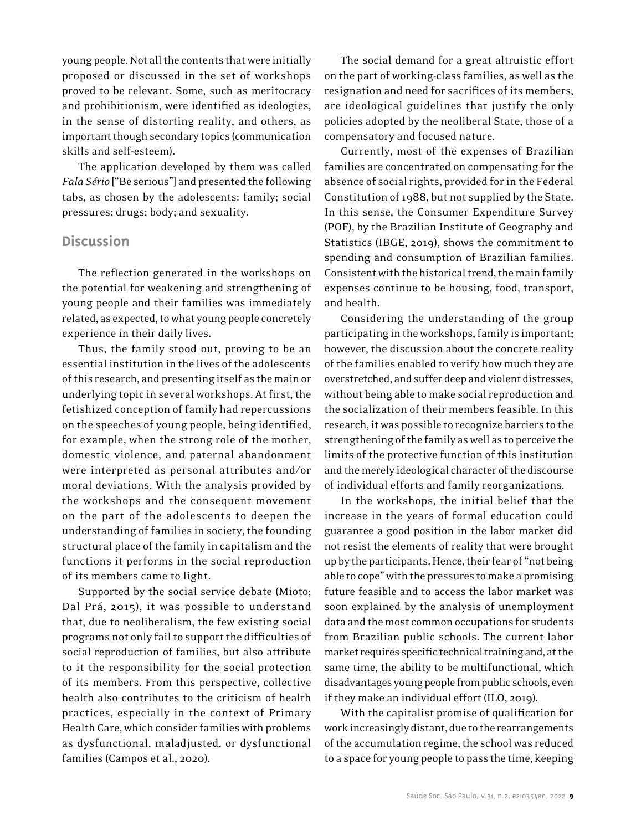young people. Not all the contents that were initially proposed or discussed in the set of workshops proved to be relevant. Some, such as meritocracy and prohibitionism, were identified as ideologies, in the sense of distorting reality, and others, as important though secondary topics (communication skills and self-esteem).

The application developed by them was called *Fala Sério* ["Be serious"] and presented the following tabs, as chosen by the adolescents: family; social pressures; drugs; body; and sexuality.

# **Discussion**

The reflection generated in the workshops on the potential for weakening and strengthening of young people and their families was immediately related, as expected, to what young people concretely experience in their daily lives.

Thus, the family stood out, proving to be an essential institution in the lives of the adolescents of this research, and presenting itself as the main or underlying topic in several workshops. At first, the fetishized conception of family had repercussions on the speeches of young people, being identified, for example, when the strong role of the mother, domestic violence, and paternal abandonment were interpreted as personal attributes and/or moral deviations. With the analysis provided by the workshops and the consequent movement on the part of the adolescents to deepen the understanding of families in society, the founding structural place of the family in capitalism and the functions it performs in the social reproduction of its members came to light.

Supported by the social service debate (Mioto; Dal Prá, 2015), it was possible to understand that, due to neoliberalism, the few existing social programs not only fail to support the difficulties of social reproduction of families, but also attribute to it the responsibility for the social protection of its members. From this perspective, collective health also contributes to the criticism of health practices, especially in the context of Primary Health Care, which consider families with problems as dysfunctional, maladjusted, or dysfunctional families (Campos et al., 2020).

The social demand for a great altruistic effort on the part of working-class families, as well as the resignation and need for sacrifices of its members, are ideological guidelines that justify the only policies adopted by the neoliberal State, those of a compensatory and focused nature.

Currently, most of the expenses of Brazilian families are concentrated on compensating for the absence of social rights, provided for in the Federal Constitution of 1988, but not supplied by the State. In this sense, the Consumer Expenditure Survey (POF), by the Brazilian Institute of Geography and Statistics (IBGE, 2019), shows the commitment to spending and consumption of Brazilian families. Consistent with the historical trend, the main family expenses continue to be housing, food, transport, and health.

Considering the understanding of the group participating in the workshops, family is important; however, the discussion about the concrete reality of the families enabled to verify how much they are overstretched, and suffer deep and violent distresses, without being able to make social reproduction and the socialization of their members feasible. In this research, it was possible to recognize barriers to the strengthening of the family as well as to perceive the limits of the protective function of this institution and the merely ideological character of the discourse of individual efforts and family reorganizations.

In the workshops, the initial belief that the increase in the years of formal education could guarantee a good position in the labor market did not resist the elements of reality that were brought up by the participants. Hence, their fear of "not being able to cope" with the pressures to make a promising future feasible and to access the labor market was soon explained by the analysis of unemployment data and the most common occupations for students from Brazilian public schools. The current labor market requires specific technical training and, at the same time, the ability to be multifunctional, which disadvantages young people from public schools, even if they make an individual effort (ILO, 2019).

With the capitalist promise of qualification for work increasingly distant, due to the rearrangements of the accumulation regime, the school was reduced to a space for young people to pass the time, keeping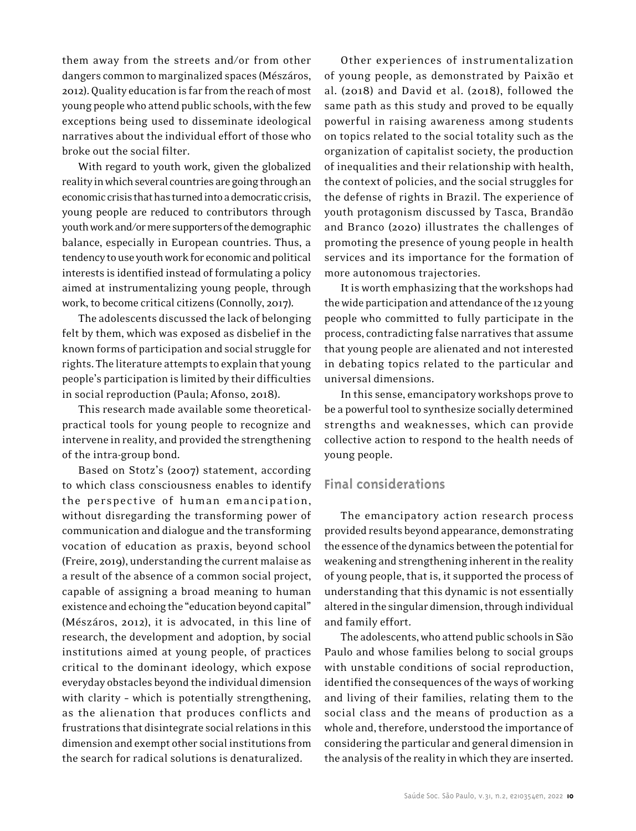them away from the streets and/or from other dangers common to marginalized spaces (Mészáros, 2012). Quality education is far from the reach of most young people who attend public schools, with the few exceptions being used to disseminate ideological narratives about the individual effort of those who broke out the social filter.

With regard to youth work, given the globalized reality in which several countries are going through an economic crisis that has turned into a democratic crisis, young people are reduced to contributors through youth work and/or mere supporters of the demographic balance, especially in European countries. Thus, a tendency to use youth work for economic and political interests is identified instead of formulating a policy aimed at instrumentalizing young people, through work, to become critical citizens (Connolly, 2017).

The adolescents discussed the lack of belonging felt by them, which was exposed as disbelief in the known forms of participation and social struggle for rights. The literature attempts to explain that young people's participation is limited by their difficulties in social reproduction (Paula; Afonso, 2018).

This research made available some theoreticalpractical tools for young people to recognize and intervene in reality, and provided the strengthening of the intra-group bond.

Based on Stotz's (2007) statement, according to which class consciousness enables to identify the perspective of human emancipation, without disregarding the transforming power of communication and dialogue and the transforming vocation of education as praxis, beyond school (Freire, 2019), understanding the current malaise as a result of the absence of a common social project, capable of assigning a broad meaning to human existence and echoing the "education beyond capital" (Mészáros, 2012), it is advocated, in this line of research, the development and adoption, by social institutions aimed at young people, of practices critical to the dominant ideology, which expose everyday obstacles beyond the individual dimension with clarity – which is potentially strengthening, as the alienation that produces conflicts and frustrations that disintegrate social relations in this dimension and exempt other social institutions from the search for radical solutions is denaturalized.

Other experiences of instrumentalization of young people, as demonstrated by Paixão et al. (2018) and David et al. (2018), followed the same path as this study and proved to be equally powerful in raising awareness among students on topics related to the social totality such as the organization of capitalist society, the production of inequalities and their relationship with health, the context of policies, and the social struggles for the defense of rights in Brazil. The experience of youth protagonism discussed by Tasca, Brandão and Branco (2020) illustrates the challenges of promoting the presence of young people in health services and its importance for the formation of more autonomous trajectories.

It is worth emphasizing that the workshops had the wide participation and attendance of the 12 young people who committed to fully participate in the process, contradicting false narratives that assume that young people are alienated and not interested in debating topics related to the particular and universal dimensions.

In this sense, emancipatory workshops prove to be a powerful tool to synthesize socially determined strengths and weaknesses, which can provide collective action to respond to the health needs of young people.

## **Final considerations**

The emancipatory action research process provided results beyond appearance, demonstrating the essence of the dynamics between the potential for weakening and strengthening inherent in the reality of young people, that is, it supported the process of understanding that this dynamic is not essentially altered in the singular dimension, through individual and family effort.

The adolescents, who attend public schools in São Paulo and whose families belong to social groups with unstable conditions of social reproduction, identified the consequences of the ways of working and living of their families, relating them to the social class and the means of production as a whole and, therefore, understood the importance of considering the particular and general dimension in the analysis of the reality in which they are inserted.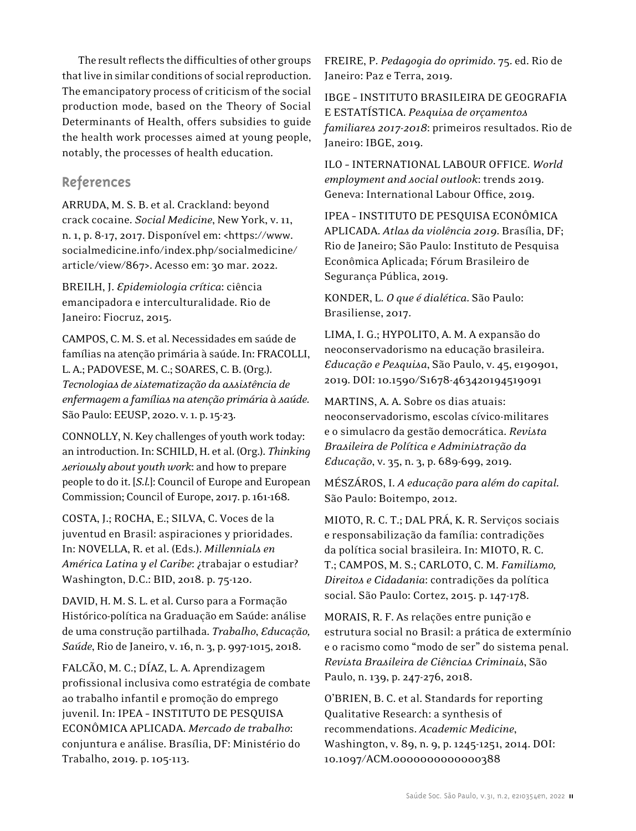The result reflects the difficulties of other groups that live in similar conditions of social reproduction. The emancipatory process of criticism of the social production mode, based on the Theory of Social Determinants of Health, offers subsidies to guide the health work processes aimed at young people, notably, the processes of health education.

# **References**

ARRUDA, M. S. B. et al. Crackland: beyond crack cocaine. *Social Medicine*, New York, v. 11, n. 1, p. 8-17, 2017. Disponível em: <https://www. socialmedicine.info/index.php/socialmedicine/ article/view/867>. Acesso em: 30 mar. 2022.

BREILH, J. *Epidemiologia crítica*: ciência emancipadora e interculturalidade. Rio de Janeiro: Fiocruz, 2015.

CAMPOS, C. M. S. et al. Necessidades em saúde de famílias na atenção primária à saúde. In: FRACOLLI, L. A.; PADOVESE, M. C.; SOARES, C. B. (Org.). *Tecnologias de sistematização da assistência de enfermagem a famílias na atenção primária à saúde*. São Paulo: EEUSP, 2020. v.1. p.15-23.

CONNOLLY, N. Key challenges of youth work today: an introduction. In: SCHILD, H. et al. (Org.). *Thinking seriously about youth work*: and how to prepare people to do it. [*S.l.*]: Council of Europe and European Commission; Council of Europe, 2017. p.161-168.

COSTA, J.; ROCHA, E.; SILVA, C. Voces de la juventud en Brasil: aspiraciones y prioridades. In: NOVELLA, R. et al. (Eds.). *Millennials en América Latina y el Caribe*: ¿trabajar o estudiar? Washington, D.C.: BID, 2018. p. 75-120.

DAVID, H. M. S. L. et al. Curso para a Formação Histórico-política na Graduação em Saúde: análise de uma construção partilhada. *Trabalho*, *Educação, Saúde*, Rio de Janeiro, v.16, n. 3, p. 997-1015, 2018.

FALCÃO, M. C.; DÍAZ, L. A. Aprendizagem profissional inclusiva como estratégia de combate ao trabalho infantil e promoção do emprego juvenil. In: IPEA – INSTITUTO DE PESQUISA ECONÔMICA APLICADA. *Mercado de trabalho*: conjuntura e análise. Brasília, DF: Ministério do Trabalho, 2019. p. 105-113.

FREIRE, P. *Pedagogia do oprimido*. 75. ed. Rio de Janeiro: Paz e Terra, 2019.

IBGE – INSTITUTO BRASILEIRA DE GEOGRAFIA E ESTATÍSTICA. *Pesquisa de orçamentos familiares 2017-2018*: primeiros resultados. Rio de Janeiro: IBGE, 2019.

ILO – INTERNATIONAL LABOUR OFFICE. *World employment and social outlook*: trends 2019. Geneva: International Labour Office, 2019.

IPEA – INSTITUTO DE PESQUISA ECONÔMICA APLICADA. *Atlas da violência 2019*. Brasília, DF; Rio de Janeiro; São Paulo: Instituto de Pesquisa Econômica Aplicada; Fórum Brasileiro de Segurança Pública, 2019.

KONDER, L. *O que é dialética*. São Paulo: Brasiliense, 2017.

LIMA, I. G.; HYPOLITO, A. M. A expansão do neoconservadorismo na educação brasileira. *Educação e Pesquisa*, São Paulo, v. 45, e190901, 2019. DOI: 10.1590/S1678-463420194519091

MARTINS, A. A. Sobre os dias atuais: neoconservadorismo, escolas cívico-militares e o simulacro da gestão democrática. *Revista Brasileira de Política e Administração da Educação*, v. 35, n. 3, p. 689-699, 2019.

MÉSZÁROS, I. *A educação para além do capital*. São Paulo: Boitempo, 2012.

MIOTO, R. C. T.; DAL PRÁ, K. R. Serviços sociais e responsabilização da família: contradições da política social brasileira. In: MIOTO, R. C. T.; CAMPOS, M. S.; CARLOTO, C. M. *Familismo, Direitos e Cidadania*: contradições da política social. São Paulo: Cortez, 2015. p. 147-178.

MORAIS, R. F. As relações entre punição e estrutura social no Brasil: a prática de extermínio e o racismo como "modo de ser" do sistema penal. *Revista Brasileira de Ciências Criminais*, São Paulo, n. 139, p. 247-276, 2018.

O'BRIEN, B. C. et al. Standards for reporting Qualitative Research: a synthesis of recommendations. *Academic Medicine*, Washington, v. 89, n. 9, p. 1245-1251, 2014. DOI: 10.1097/ACM.0000000000000388